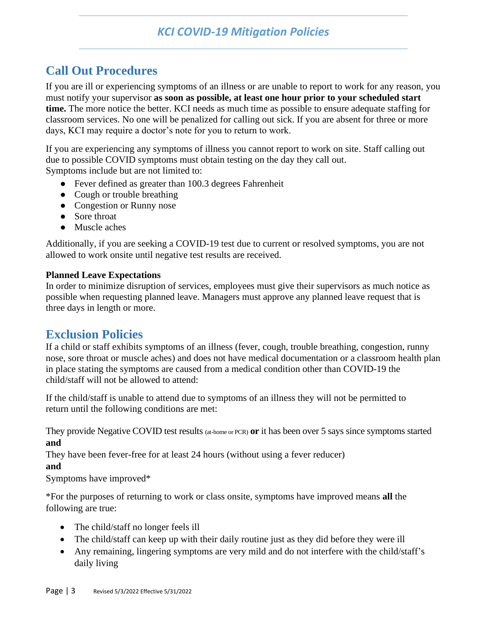## *KCI COVID-19 Mitigation Policies*

# **Call Out Procedures**

If you are ill or experiencing symptoms of an illness or are unable to report to work for any reason, you must notify your supervisor **as soon as possible, at least one hour prior to your scheduled start time.** The more notice the better. KCI needs as much time as possible to ensure adequate staffing for classroom services. No one will be penalized for calling out sick. If you are absent for three or more days, KCI may require a doctor's note for you to return to work.

If you are experiencing any symptoms of illness you cannot report to work on site. Staff calling out due to possible COVID symptoms must obtain testing on the day they call out. Symptoms include but are not limited to:

- Fever defined as greater than 100.3 degrees Fahrenheit
- Cough or trouble breathing
- Congestion or Runny nose
- Sore throat
- Muscle aches

Additionally, if you are seeking a COVID-19 test due to current or resolved symptoms, you are not allowed to work onsite until negative test results are received.

### **Planned Leave Expectations**

In order to minimize disruption of services, employees must give their supervisors as much notice as possible when requesting planned leave. Managers must approve any planned leave request that is three days in length or more.

## **Exclusion Policies**

If a child or staff exhibits symptoms of an illness (fever, cough, trouble breathing, congestion, runny nose, sore throat or muscle aches) and does not have medical documentation or a classroom health plan in place stating the symptoms are caused from a medical condition other than COVID-19 the child/staff will not be allowed to attend:

If the child/staff is unable to attend due to symptoms of an illness they will not be permitted to return until the following conditions are met:

They provide Negative COVID test results (at-home or PCR) **or** it has been over 5 says since symptoms started **and**

They have been fever-free for at least 24 hours (without using a fever reducer)

**and**

Symptoms have improved\*

\*For the purposes of returning to work or class onsite, symptoms have improved means **all** the following are true:

- The child/staff no longer feels ill
- The child/staff can keep up with their daily routine just as they did before they were ill
- Any remaining, lingering symptoms are very mild and do not interfere with the child/staff's daily living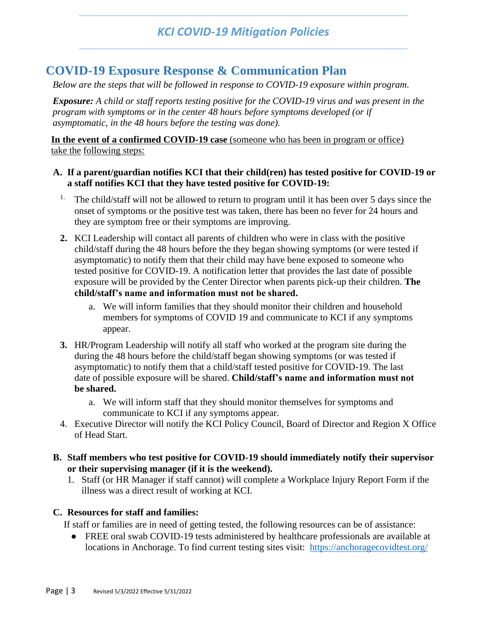## **COVID-19 Exposure Response & Communication Plan**

*Below are the steps that will be followed in response to COVID-19 exposure within program.*

*Exposure: A child or staff reports testing positive for the COVID-19 virus and was present in the program with symptoms or in the center 48 hours before symptoms developed (or if asymptomatic, in the 48 hours before the testing was done).*

**In the event of a confirmed COVID-19 case** (someone who has been in program or office) take the following steps:

#### **A. If a parent/guardian notifies KCI that their child(ren) has tested positive for COVID-19 or a staff notifies KCI that they have tested positive for COVID-19:**

- <sup>1.</sup> The child/staff will not be allowed to return to program until it has been over 5 days since the onset of symptoms or the positive test was taken, there has been no fever for 24 hours and they are symptom free or their symptoms are improving.
- **2.** KCI Leadership will contact all parents of children who were in class with the positive child/staff during the 48 hours before the they began showing symptoms (or were tested if asymptomatic) to notify them that their child may have bene exposed to someone who tested positive for COVID-19. A notification letter that provides the last date of possible exposure will be provided by the Center Director when parents pick-up their children. **The child/staff's name and information must not be shared.**
	- a. We will inform families that they should monitor their children and household members for symptoms of COVID 19 and communicate to KCI if any symptoms appear.
- **3.** HR/Program Leadership will notify all staff who worked at the program site during the during the 48 hours before the child/staff began showing symptoms (or was tested if asymptomatic) to notify them that a child/staff tested positive for COVID-19. The last date of possible exposure will be shared. **Child/staff's name and information must not be shared.**
	- a. We will inform staff that they should monitor themselves for symptoms and communicate to KCI if any symptoms appear.
- 4. Executive Director will notify the KCI Policy Council, Board of Director and Region X Office of Head Start.
- **B. Staff members who test positive for COVID-19 should immediately notify their supervisor or their supervising manager (if it is the weekend).**
	- 1. Staff (or HR Manager if staff cannot) will complete a Workplace Injury Report Form if the illness was a direct result of working at KCI.

#### **C. Resources for staff and families:**

If staff or families are in need of getting tested, the following resources can be of assistance:

● FREE oral swab COVID-19 tests administered by healthcare professionals are available at locations in Anchorage. To find current testing sites visit: <https://anchoragecovidtest.org/>